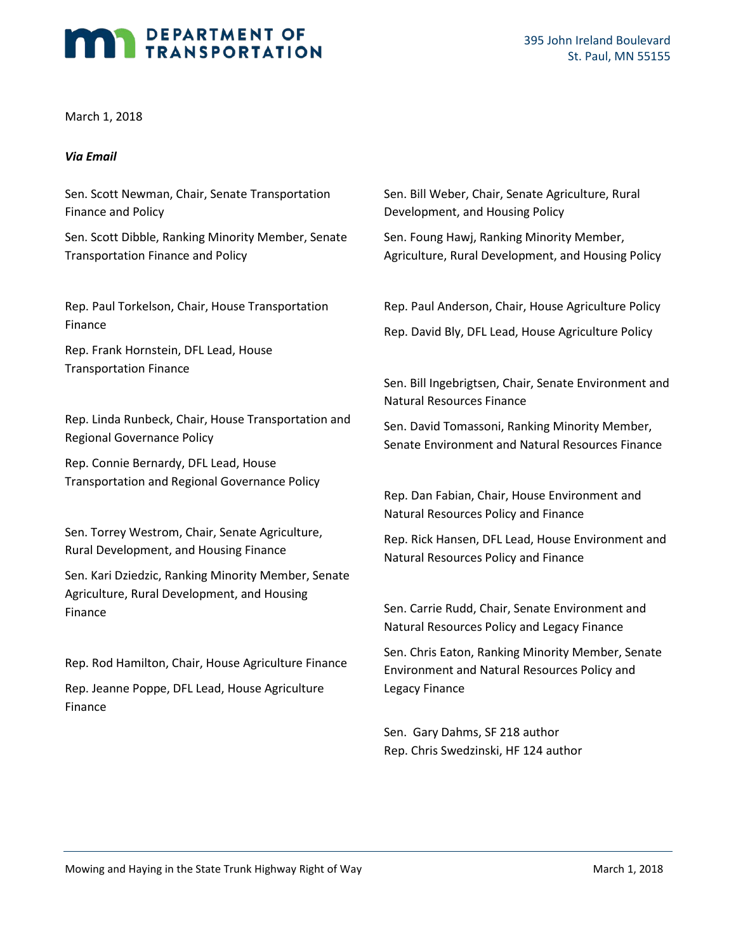# DEPARTMENT OF TRANSPORTATION

March 1, 2018

#### *Via Email*

Sen. Scott Newman, Chair, Senate Transportation Finance and Policy

Sen. Scott Dibble, Ranking Minority Member, Senate Transportation Finance and Policy

Rep. Paul Torkelson, Chair, House Transportation Finance

Rep. Frank Hornstein, DFL Lead, House Transportation Finance

Rep. Linda Runbeck, Chair, House Transportation and Regional Governance Policy

Rep. Connie Bernardy, DFL Lead, House Transportation and Regional Governance Policy

Sen. Torrey Westrom, Chair, Senate Agriculture, Rural Development, and Housing Finance

Sen. Kari Dziedzic, Ranking Minority Member, Senate Agriculture, Rural Development, and Housing Finance

Rep. Rod Hamilton, Chair, House Agriculture Finance Rep. Jeanne Poppe, DFL Lead, House Agriculture Finance

Sen. Bill Weber, Chair, Senate Agriculture, Rural Development, and Housing Policy

Sen. Foung Hawj, Ranking Minority Member, Agriculture, Rural Development, and Housing Policy

Rep. Paul Anderson, Chair, House Agriculture Policy Rep. David Bly, DFL Lead, House Agriculture Policy

Sen. Bill Ingebrigtsen, Chair, Senate Environment and Natural Resources Finance

Sen. David Tomassoni, Ranking Minority Member, Senate Environment and Natural Resources Finance

Rep. Dan Fabian, Chair, House Environment and Natural Resources Policy and Finance

Rep. Rick Hansen, DFL Lead, House Environment and Natural Resources Policy and Finance

Sen. Carrie Rudd, Chair, Senate Environment and Natural Resources Policy and Legacy Finance

Sen. Chris Eaton, Ranking Minority Member, Senate Environment and Natural Resources Policy and Legacy Finance

Sen. Gary Dahms, SF 218 author Rep. Chris Swedzinski, HF 124 author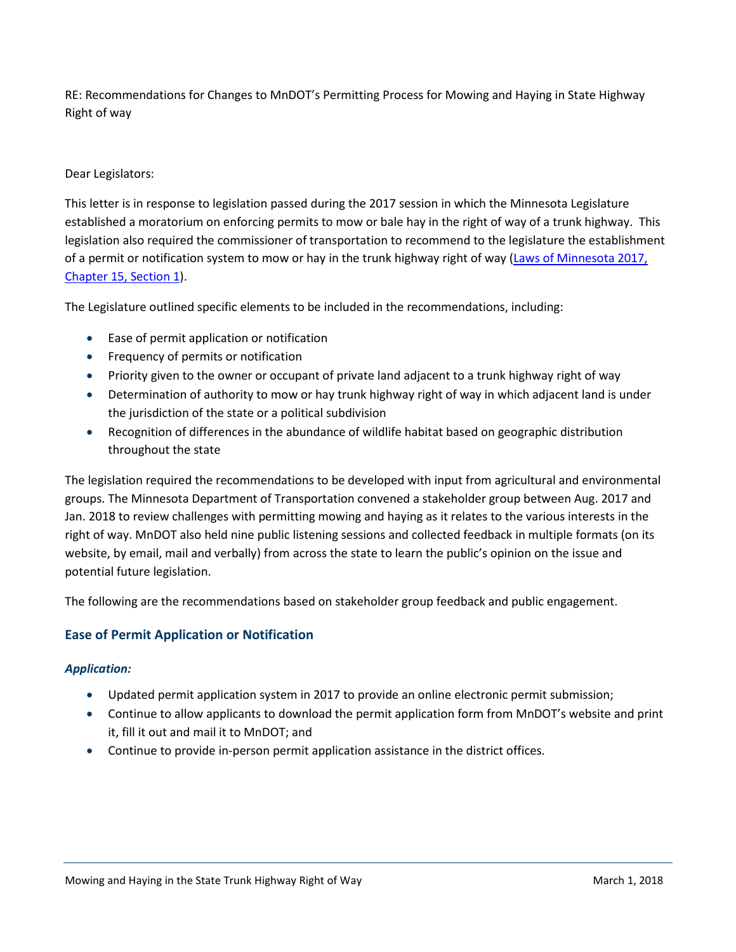RE: Recommendations for Changes to MnDOT's Permitting Process for Mowing and Haying in State Highway Right of way

## Dear Legislators:

This letter is in response to legislation passed during the 2017 session in which the Minnesota Legislature established a moratorium on enforcing permits to mow or bale hay in the right of way of a trunk highway. This legislation also required the commissioner of transportation to recommend to the legislature the establishment of a permit or notification system to mow or hay in the trunk highway right of way [\(Laws of Minnesota 2017,](https://www.revisor.mn.gov/laws/?year=2017&type=0&doctype=Chapter&id=15)  [Chapter 15, Section 1\)](https://www.revisor.mn.gov/laws/?year=2017&type=0&doctype=Chapter&id=15).

The Legislature outlined specific elements to be included in the recommendations, including:

- Ease of permit application or notification
- Frequency of permits or notification
- Priority given to the owner or occupant of private land adjacent to a trunk highway right of way
- Determination of authority to mow or hay trunk highway right of way in which adjacent land is under the jurisdiction of the state or a political subdivision
- Recognition of differences in the abundance of wildlife habitat based on geographic distribution throughout the state

The legislation required the recommendations to be developed with input from agricultural and environmental groups. The Minnesota Department of Transportation convened a stakeholder group between Aug. 2017 and Jan. 2018 to review challenges with permitting mowing and haying as it relates to the various interests in the right of way. MnDOT also held nine public listening sessions and collected feedback in multiple formats (on its website, by email, mail and verbally) from across the state to learn the public's opinion on the issue and potential future legislation.

The following are the recommendations based on stakeholder group feedback and public engagement.

## **Ease of Permit Application or Notification**

## *Application:*

- Updated permit application system in 2017 to provide an online electronic permit submission;
- Continue to allow applicants to download the permit application form from MnDOT's website and print it, fill it out and mail it to MnDOT; and
- Continue to provide in-person permit application assistance in the district offices.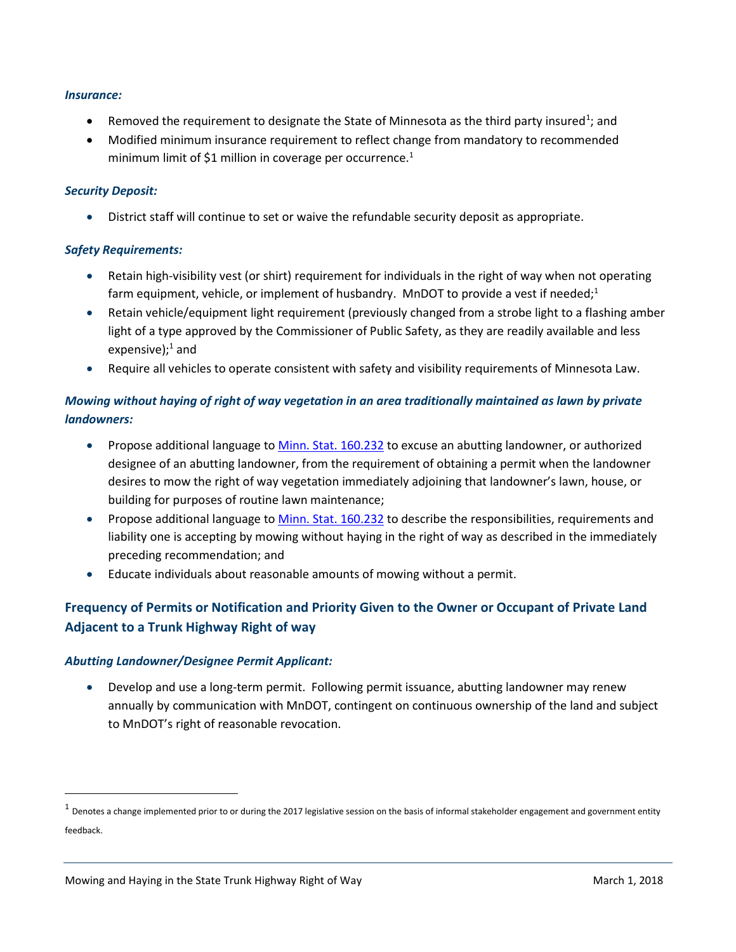#### *Insurance:*

- Removed the requirement to designate the State of Minnesota as the third party insured<sup>[1](#page-2-0)</sup>; and
- Modified minimum insurance requirement to reflect change from mandatory to recommended minimum limit of \$1 million in coverage per occurrence.<sup>1</sup>

## *Security Deposit:*

• District staff will continue to set or waive the refundable security deposit as appropriate.

## *Safety Requirements:*

- Retain high-visibility vest (or shirt) requirement for individuals in the right of way when not operating farm equipment, vehicle, or implement of husbandry. MnDOT to provide a vest if needed;<sup>1</sup>
- Retain vehicle/equipment light requirement (previously changed from a strobe light to a flashing amber light of a type approved by the Commissioner of Public Safety, as they are readily available and less expensive);<sup>1</sup> and
- Require all vehicles to operate consistent with safety and visibility requirements of Minnesota Law.

## *Mowing without haying of right of way vegetation in an area traditionally maintained as lawn by private landowners:*

- Propose additional language t[o Minn. Stat. 160.232](https://www.revisor.mn.gov/statutes/?id=160.232) to excuse an abutting landowner, or authorized designee of an abutting landowner, from the requirement of obtaining a permit when the landowner desires to mow the right of way vegetation immediately adjoining that landowner's lawn, house, or building for purposes of routine lawn maintenance;
- Propose additional language to [Minn. Stat. 160.232](https://www.revisor.mn.gov/statutes/?id=160.232) to describe the responsibilities, requirements and liability one is accepting by mowing without haying in the right of way as described in the immediately preceding recommendation; and
- Educate individuals about reasonable amounts of mowing without a permit.

# **Frequency of Permits or Notification and Priority Given to the Owner or Occupant of Private Land Adjacent to a Trunk Highway Right of way**

## *Abutting Landowner/Designee Permit Applicant:*

• Develop and use a long-term permit. Following permit issuance, abutting landowner may renew annually by communication with MnDOT, contingent on continuous ownership of the land and subject to MnDOT's right of reasonable revocation.

<span id="page-2-0"></span> $1$  Denotes a change implemented prior to or during the 2017 legislative session on the basis of informal stakeholder engagement and government entity feedback.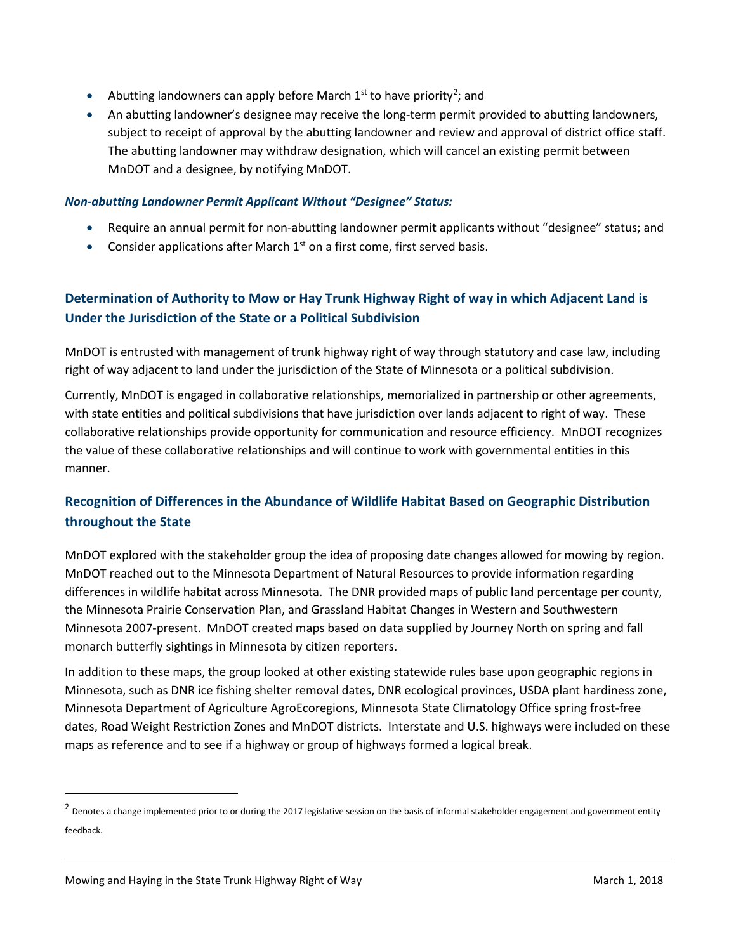- Abutting landowners can apply before March  $1<sup>st</sup>$  to have priority<sup>[2](#page-3-0)</sup>; and
- An abutting landowner's designee may receive the long-term permit provided to abutting landowners, subject to receipt of approval by the abutting landowner and review and approval of district office staff. The abutting landowner may withdraw designation, which will cancel an existing permit between MnDOT and a designee, by notifying MnDOT.

## *Non-abutting Landowner Permit Applicant Without "Designee" Status:*

- Require an annual permit for non-abutting landowner permit applicants without "designee" status; and
- Consider applications after March  $1<sup>st</sup>$  on a first come, first served basis.

# **Determination of Authority to Mow or Hay Trunk Highway Right of way in which Adjacent Land is Under the Jurisdiction of the State or a Political Subdivision**

MnDOT is entrusted with management of trunk highway right of way through statutory and case law, including right of way adjacent to land under the jurisdiction of the State of Minnesota or a political subdivision.

Currently, MnDOT is engaged in collaborative relationships, memorialized in partnership or other agreements, with state entities and political subdivisions that have jurisdiction over lands adjacent to right of way. These collaborative relationships provide opportunity for communication and resource efficiency. MnDOT recognizes the value of these collaborative relationships and will continue to work with governmental entities in this manner.

## **Recognition of Differences in the Abundance of Wildlife Habitat Based on Geographic Distribution throughout the State**

MnDOT explored with the stakeholder group the idea of proposing date changes allowed for mowing by region. MnDOT reached out to the Minnesota Department of Natural Resources to provide information regarding differences in wildlife habitat across Minnesota. The DNR provided maps of public land percentage per county, the Minnesota Prairie Conservation Plan, and Grassland Habitat Changes in Western and Southwestern Minnesota 2007-present. MnDOT created maps based on data supplied by Journey North on spring and fall monarch butterfly sightings in Minnesota by citizen reporters.

In addition to these maps, the group looked at other existing statewide rules base upon geographic regions in Minnesota, such as DNR ice fishing shelter removal dates, DNR ecological provinces, USDA plant hardiness zone, Minnesota Department of Agriculture AgroEcoregions, Minnesota State Climatology Office spring frost-free dates, Road Weight Restriction Zones and MnDOT districts. Interstate and U.S. highways were included on these maps as reference and to see if a highway or group of highways formed a logical break.

<span id="page-3-0"></span> $<sup>2</sup>$  Denotes a change implemented prior to or during the 2017 legislative session on the basis of informal stakeholder engagement and government entity</sup> feedback.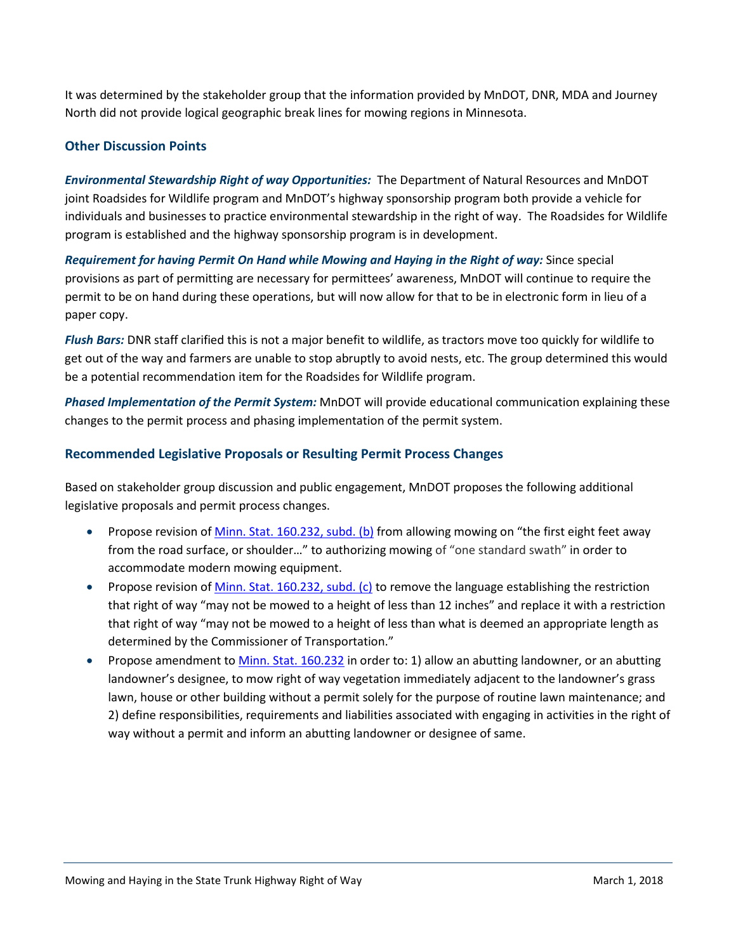It was determined by the stakeholder group that the information provided by MnDOT, DNR, MDA and Journey North did not provide logical geographic break lines for mowing regions in Minnesota.

## **Other Discussion Points**

*Environmental Stewardship Right of way Opportunities:* The Department of Natural Resources and MnDOT joint Roadsides for Wildlife program and MnDOT's highway sponsorship program both provide a vehicle for individuals and businesses to practice environmental stewardship in the right of way. The Roadsides for Wildlife program is established and the highway sponsorship program is in development.

*Requirement for having Permit On Hand while Mowing and Haying in the Right of way:* Since special provisions as part of permitting are necessary for permittees' awareness, MnDOT will continue to require the permit to be on hand during these operations, but will now allow for that to be in electronic form in lieu of a paper copy.

*Flush Bars:* DNR staff clarified this is not a major benefit to wildlife, as tractors move too quickly for wildlife to get out of the way and farmers are unable to stop abruptly to avoid nests, etc. The group determined this would be a potential recommendation item for the Roadsides for Wildlife program.

*Phased Implementation of the Permit System:* MnDOT will provide educational communication explaining these changes to the permit process and phasing implementation of the permit system.

## **Recommended Legislative Proposals or Resulting Permit Process Changes**

Based on stakeholder group discussion and public engagement, MnDOT proposes the following additional legislative proposals and permit process changes.

- Propose revision o[f Minn. Stat. 160.232, subd. \(b\)](https://www.revisor.mn.gov/statutes/?id=160.232) from allowing mowing on "the first eight feet away from the road surface, or shoulder…" to authorizing mowing of "one standard swath" in order to accommodate modern mowing equipment.
- Propose revision o[f Minn. Stat. 160.232, subd. \(c\)](https://www.revisor.mn.gov/statutes/?id=160.232) to remove the language establishing the restriction that right of way "may not be mowed to a height of less than 12 inches" and replace it with a restriction that right of way "may not be mowed to a height of less than what is deemed an appropriate length as determined by the Commissioner of Transportation."
- Propose amendment t[o Minn. Stat. 160.232](https://www.revisor.mn.gov/statutes/?id=160.232) in order to: 1) allow an abutting landowner, or an abutting landowner's designee, to mow right of way vegetation immediately adjacent to the landowner's grass lawn, house or other building without a permit solely for the purpose of routine lawn maintenance; and 2) define responsibilities, requirements and liabilities associated with engaging in activities in the right of way without a permit and inform an abutting landowner or designee of same.